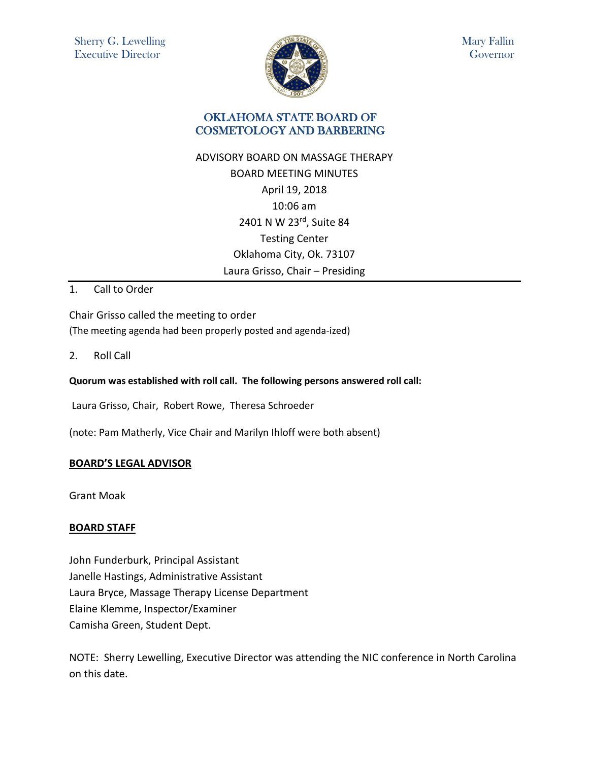

Mary Fallin Governor

# OKLAHOMA STATE BOARD OF COSMETOLOGY AND BARBERING

# ADVISORY BOARD ON MASSAGE THERAPY BOARD MEETING MINUTES April 19, 2018 10:06 am 2401 N W 23rd, Suite 84 Testing Center Oklahoma City, Ok. 73107 Laura Grisso, Chair – Presiding

### 1. Call to Order

Chair Grisso called the meeting to order (The meeting agenda had been properly posted and agenda-ized)

2. Roll Call

#### **Quorum was established with roll call. The following persons answered roll call:**

Laura Grisso, Chair, Robert Rowe, Theresa Schroeder

(note: Pam Matherly, Vice Chair and Marilyn Ihloff were both absent)

#### **BOARD'S LEGAL ADVISOR**

Grant Moak

#### **BOARD STAFF**

John Funderburk, Principal Assistant Janelle Hastings, Administrative Assistant Laura Bryce, Massage Therapy License Department Elaine Klemme, Inspector/Examiner Camisha Green, Student Dept.

NOTE:Sherry Lewelling, Executive Director was attending the NIC conference in North Carolina on this date.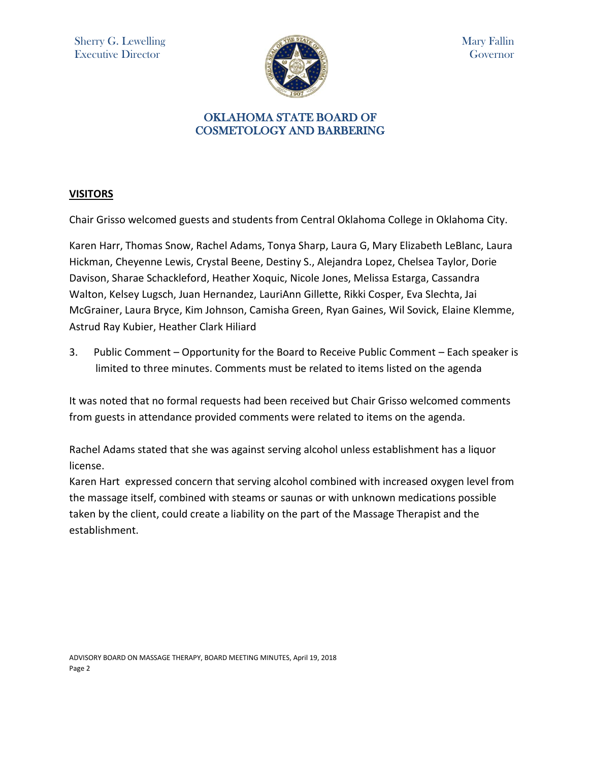

# OKLAHOMA STATE BOARD OF COSMETOLOGY AND BARBERING

# **VISITORS**

Chair Grisso welcomed guests and students from Central Oklahoma College in Oklahoma City.

Karen Harr, Thomas Snow, Rachel Adams, Tonya Sharp, Laura G, Mary Elizabeth LeBlanc, Laura Hickman, Cheyenne Lewis, Crystal Beene, Destiny S., Alejandra Lopez, Chelsea Taylor, Dorie Davison, Sharae Schackleford, Heather Xoquic, Nicole Jones, Melissa Estarga, Cassandra Walton, Kelsey Lugsch, Juan Hernandez, LauriAnn Gillette, Rikki Cosper, Eva Slechta, Jai McGrainer, Laura Bryce, Kim Johnson, Camisha Green, Ryan Gaines, Wil Sovick, Elaine Klemme, Astrud Ray Kubier, Heather Clark Hiliard

3. Public Comment – Opportunity for the Board to Receive Public Comment – Each speaker is limited to three minutes. Comments must be related to items listed on the agenda

It was noted that no formal requests had been received but Chair Grisso welcomed comments from guests in attendance provided comments were related to items on the agenda.

Rachel Adams stated that she was against serving alcohol unless establishment has a liquor license.

Karen Hart expressed concern that serving alcohol combined with increased oxygen level from the massage itself, combined with steams or saunas or with unknown medications possible taken by the client, could create a liability on the part of the Massage Therapist and the establishment.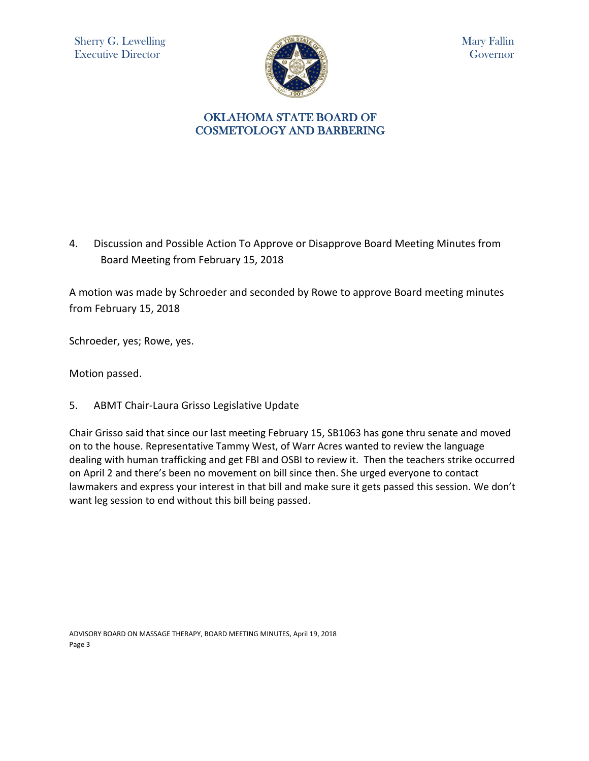

### OKLAHOMA STATE BOARD OF COSMETOLOGY AND BARBERING

4. Discussion and Possible Action To Approve or Disapprove Board Meeting Minutes from Board Meeting from February 15, 2018

A motion was made by Schroeder and seconded by Rowe to approve Board meeting minutes from February 15, 2018

Schroeder, yes; Rowe, yes.

Motion passed.

5. ABMT Chair-Laura Grisso Legislative Update

Chair Grisso said that since our last meeting February 15, SB1063 has gone thru senate and moved on to the house. Representative Tammy West, of Warr Acres wanted to review the language dealing with human trafficking and get FBI and OSBI to review it. Then the teachers strike occurred on April 2 and there's been no movement on bill since then. She urged everyone to contact lawmakers and express your interest in that bill and make sure it gets passed this session. We don't want leg session to end without this bill being passed.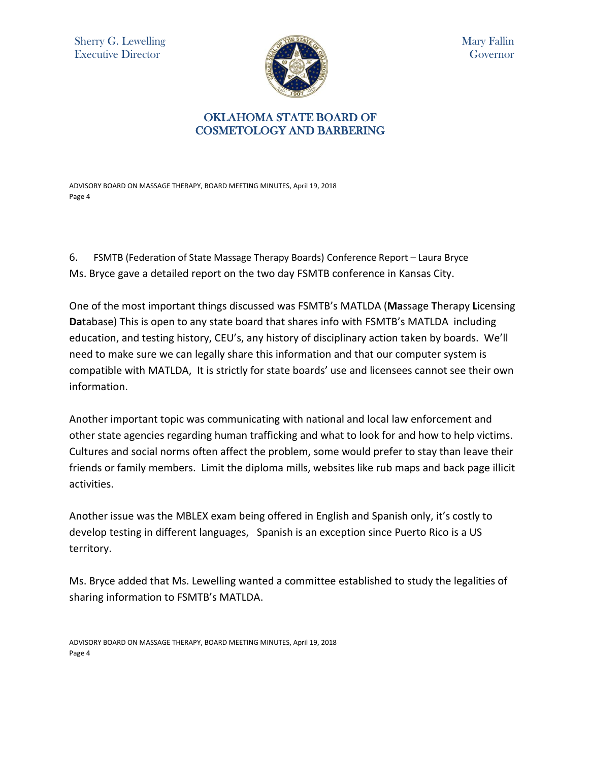Sherry G. Lewelling Executive Director



Mary Fallin Governor

# OKLAHOMA STATE BOARD OF COSMETOLOGY AND BARBERING

ADVISORY BOARD ON MASSAGE THERAPY, BOARD MEETING MINUTES, April 19, 2018 Page 4

6. FSMTB (Federation of State Massage Therapy Boards) Conference Report – Laura Bryce Ms. Bryce gave a detailed report on the two day FSMTB conference in Kansas City.

One of the most important things discussed was FSMTB's MATLDA (**Ma**ssage **T**herapy **L**icensing **Da**tabase) This is open to any state board that shares info with FSMTB's MATLDA including education, and testing history, CEU's, any history of disciplinary action taken by boards. We'll need to make sure we can legally share this information and that our computer system is compatible with MATLDA, It is strictly for state boards' use and licensees cannot see their own information.

Another important topic was communicating with national and local law enforcement and other state agencies regarding human trafficking and what to look for and how to help victims. Cultures and social norms often affect the problem, some would prefer to stay than leave their friends or family members. Limit the diploma mills, websites like rub maps and back page illicit activities.

Another issue was the MBLEX exam being offered in English and Spanish only, it's costly to develop testing in different languages, Spanish is an exception since Puerto Rico is a US territory.

Ms. Bryce added that Ms. Lewelling wanted a committee established to study the legalities of sharing information to FSMTB's MATLDA.

ADVISORY BOARD ON MASSAGE THERAPY, BOARD MEETING MINUTES, April 19, 2018 Page 4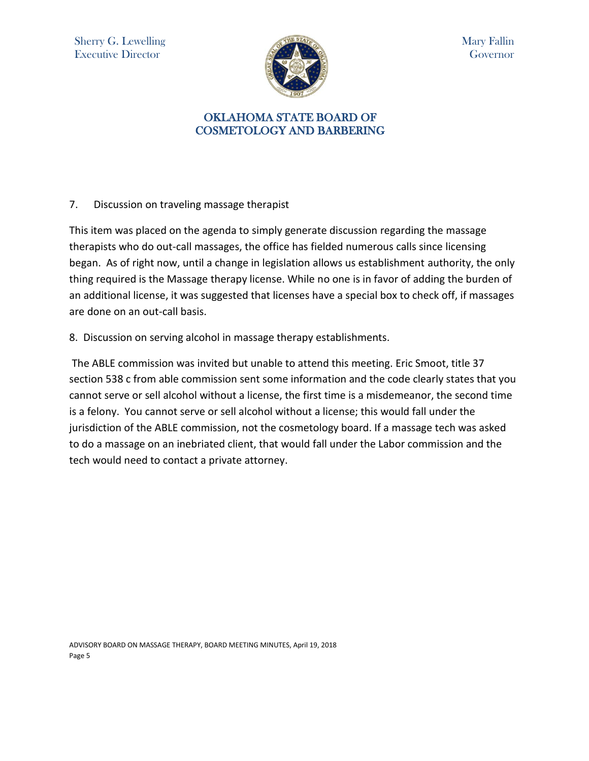

## OKLAHOMA STATE BOARD OF COSMETOLOGY AND BARBERING

7. Discussion on traveling massage therapist

This item was placed on the agenda to simply generate discussion regarding the massage therapists who do out-call massages, the office has fielded numerous calls since licensing began. As of right now, until a change in legislation allows us establishment authority, the only thing required is the Massage therapy license. While no one is in favor of adding the burden of an additional license, it was suggested that licenses have a special box to check off, if massages are done on an out-call basis.

8. Discussion on serving alcohol in massage therapy establishments.

The ABLE commission was invited but unable to attend this meeting. Eric Smoot, title 37 section 538 c from able commission sent some information and the code clearly states that you cannot serve or sell alcohol without a license, the first time is a misdemeanor, the second time is a felony. You cannot serve or sell alcohol without a license; this would fall under the jurisdiction of the ABLE commission, not the cosmetology board. If a massage tech was asked to do a massage on an inebriated client, that would fall under the Labor commission and the tech would need to contact a private attorney.

ADVISORY BOARD ON MASSAGE THERAPY, BOARD MEETING MINUTES, April 19, 2018 Page 5